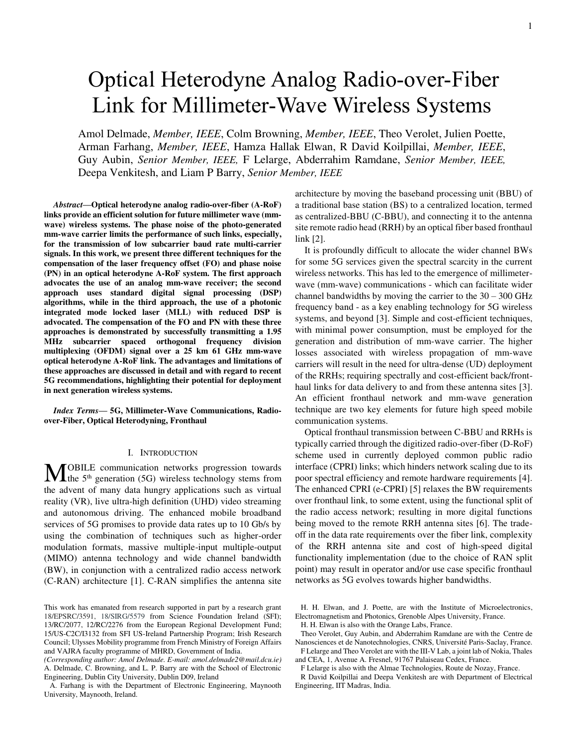# Optical Heterodyne Analog Radio-over-Fiber Link for Millimeter-Wave Wireless Systems

Amol Delmade, *Member, IEEE*, Colm Browning, *Member, IEEE*, Theo Verolet, Julien Poette, Arman Farhang, *Member, IEEE*, Hamza Hallak Elwan, R David Koilpillai, *Member, IEEE*, Guy Aubin, *Senior Member, IEEE,* F Lelarge, Abderrahim Ramdane, *Senior Member, IEEE,* Deepa Venkitesh, and Liam P Barry, *Senior Member, IEEE* 

*Abstract***—Optical heterodyne analog radio-over-fiber (A-RoF) links provide an efficient solution for future millimeter wave (mmwave) wireless systems. The phase noise of the photo-generated mm-wave carrier limits the performance of such links, especially, for the transmission of low subcarrier baud rate multi-carrier signals. In this work, we present three different techniques for the compensation of the laser frequency offset (FO) and phase noise (PN) in an optical heterodyne A-RoF system. The first approach advocates the use of an analog mm-wave receiver; the second approach uses standard digital signal processing (DSP) algorithms, while in the third approach, the use of a photonic integrated mode locked laser (MLL) with reduced DSP is advocated. The compensation of the FO and PN with these three approaches is demonstrated by successfully transmitting a 1.95 MHz subcarrier spaced orthogonal frequency division multiplexing (OFDM) signal over a 25 km 61 GHz mm-wave optical heterodyne A-RoF link. The advantages and limitations of these approaches are discussed in detail and with regard to recent 5G recommendations, highlighting their potential for deployment in next generation wireless systems.** 

*Index Terms***— 5G, Millimeter-Wave Communications, Radioover-Fiber, Optical Heterodyning, Fronthaul** 

#### I. INTRODUCTION

OBILE communication networks progression towards **MOBILE** communication networks progression towards<br>the 5<sup>th</sup> generation (5G) wireless technology stems from the advent of many data hungry applications such as virtual reality (VR), live ultra-high definition (UHD) video streaming and autonomous driving. The enhanced mobile broadband services of 5G promises to provide data rates up to 10 Gb/s by using the combination of techniques such as higher-order modulation formats, massive multiple-input multiple-output (MIMO) antenna technology and wide channel bandwidth (BW), in conjunction with a centralized radio access network (C-RAN) architecture [1]. C-RAN simplifies the antenna site

 A. Farhang is with the Department of Electronic Engineering, Maynooth University, Maynooth, Ireland.

architecture by moving the baseband processing unit (BBU) of a traditional base station (BS) to a centralized location, termed as centralized-BBU (C-BBU), and connecting it to the antenna site remote radio head (RRH) by an optical fiber based fronthaul link [2].

It is profoundly difficult to allocate the wider channel BWs for some 5G services given the spectral scarcity in the current wireless networks. This has led to the emergence of millimeterwave (mm-wave) communications - which can facilitate wider channel bandwidths by moving the carrier to the  $30 - 300$  GHz frequency band - as a key enabling technology for 5G wireless systems, and beyond [3]. Simple and cost-efficient techniques, with minimal power consumption, must be employed for the generation and distribution of mm-wave carrier. The higher losses associated with wireless propagation of mm-wave carriers will result in the need for ultra-dense (UD) deployment of the RRHs; requiring spectrally and cost-efficient back/fronthaul links for data delivery to and from these antenna sites [3]. An efficient fronthaul network and mm-wave generation technique are two key elements for future high speed mobile communication systems.

Optical fronthaul transmission between C-BBU and RRHs is typically carried through the digitized radio-over-fiber (D-RoF) scheme used in currently deployed common public radio interface (CPRI) links; which hinders network scaling due to its poor spectral efficiency and remote hardware requirements [4]. The enhanced CPRI (e-CPRI) [5] relaxes the BW requirements over fronthaul link, to some extent, using the functional split of the radio access network; resulting in more digital functions being moved to the remote RRH antenna sites [6]. The tradeoff in the data rate requirements over the fiber link, complexity of the RRH antenna site and cost of high-speed digital functionality implementation (due to the choice of RAN split point) may result in operator and/or use case specific fronthaul networks as 5G evolves towards higher bandwidths.

 H. H. Elwan, and J. Poette, are with the Institute of Microelectronics, Electromagnetism and Photonics, Grenoble Alpes University, France.

This work has emanated from research supported in part by a research grant 18/EPSRC/3591, 18/SIRG/5579 from Science Foundation Ireland (SFI); 13/RC/2077, 12/RC/2276 from the European Regional Development Fund; 15/US-C2C/I3132 from SFI US-Ireland Partnership Program; Irish Research Council; Ulysses Mobility programme from French Ministry of Foreign Affairs and VAJRA faculty programme of MHRD, Government of India.

*<sup>(</sup>Corresponding author: Amol Delmade. E-mail: amol.delmade2@mail.dcu.ie)* A. Delmade, C. Browning, and L. P. Barry are with the School of Electronic Engineering, Dublin City University, Dublin D09, Ireland

H. H. Elwan is also with the Orange Labs, France.

Theo Verolet, Guy Aubin, and Abderrahim Ramdane are with the Centre de Nanosciences et de Nanotechnologies, CNRS, Université Paris-Saclay, France.

F Lelarge and Theo Verolet are with the III-V Lab, a joint lab of Nokia, Thales and CEA, 1, Avenue A. Fresnel, 91767 Palaiseau Cedex, France.

F Lelarge is also with the Almae Technologies, Route de Nozay, France.

R David Koilpillai and Deepa Venkitesh are with Department of Electrical Engineering, IIT Madras, India.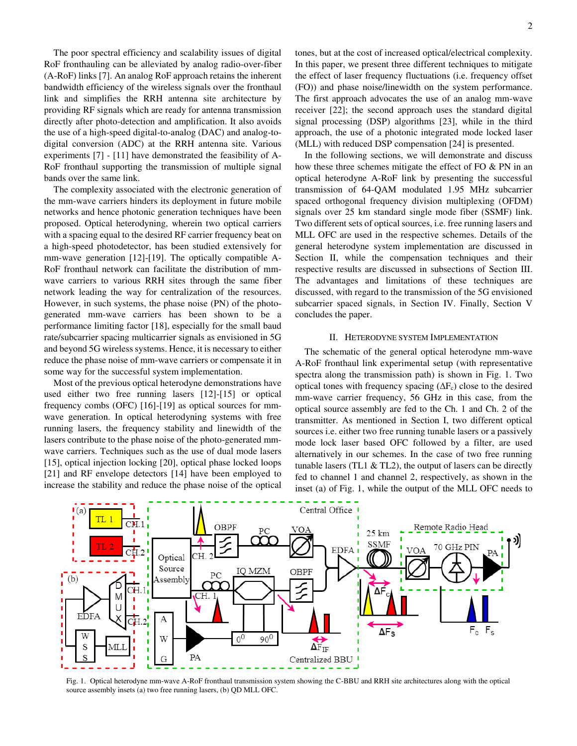The poor spectral efficiency and scalability issues of digital RoF fronthauling can be alleviated by analog radio-over-fiber (A-RoF) links [7]. An analog RoF approach retains the inherent bandwidth efficiency of the wireless signals over the fronthaul link and simplifies the RRH antenna site architecture by providing RF signals which are ready for antenna transmission directly after photo-detection and amplification. It also avoids the use of a high-speed digital-to-analog (DAC) and analog-todigital conversion (ADC) at the RRH antenna site. Various experiments [7] - [11] have demonstrated the feasibility of A-RoF fronthaul supporting the transmission of multiple signal bands over the same link.

The complexity associated with the electronic generation of the mm-wave carriers hinders its deployment in future mobile networks and hence photonic generation techniques have been proposed. Optical heterodyning, wherein two optical carriers with a spacing equal to the desired RF carrier frequency beat on a high-speed photodetector, has been studied extensively for mm-wave generation [12]-[19]. The optically compatible A-RoF fronthaul network can facilitate the distribution of mmwave carriers to various RRH sites through the same fiber network leading the way for centralization of the resources. However, in such systems, the phase noise (PN) of the photogenerated mm-wave carriers has been shown to be a performance limiting factor [18], especially for the small baud rate/subcarrier spacing multicarrier signals as envisioned in 5G and beyond 5G wireless systems. Hence, it is necessary to either reduce the phase noise of mm-wave carriers or compensate it in some way for the successful system implementation.

Most of the previous optical heterodyne demonstrations have used either two free running lasers [12]-[15] or optical frequency combs (OFC) [16]-[19] as optical sources for mmwave generation. In optical heterodyning systems with free running lasers, the frequency stability and linewidth of the lasers contribute to the phase noise of the photo-generated mmwave carriers. Techniques such as the use of dual mode lasers [15], optical injection locking [20], optical phase locked loops [21] and RF envelope detectors [14] have been employed to increase the stability and reduce the phase noise of the optical tones, but at the cost of increased optical/electrical complexity. In this paper, we present three different techniques to mitigate the effect of laser frequency fluctuations (i.e. frequency offset (FO)) and phase noise/linewidth on the system performance. The first approach advocates the use of an analog mm-wave receiver [22]; the second approach uses the standard digital signal processing (DSP) algorithms [23], while in the third approach, the use of a photonic integrated mode locked laser (MLL) with reduced DSP compensation [24] is presented.

In the following sections, we will demonstrate and discuss how these three schemes mitigate the effect of FO & PN in an optical heterodyne A-RoF link by presenting the successful transmission of 64-QAM modulated 1.95 MHz subcarrier spaced orthogonal frequency division multiplexing (OFDM) signals over 25 km standard single mode fiber (SSMF) link. Two different sets of optical sources, i.e. free running lasers and MLL OFC are used in the respective schemes. Details of the general heterodyne system implementation are discussed in Section II, while the compensation techniques and their respective results are discussed in subsections of Section III. The advantages and limitations of these techniques are discussed, with regard to the transmission of the 5G envisioned subcarrier spaced signals, in Section IV. Finally, Section V concludes the paper.

#### II. HETERODYNE SYSTEM IMPLEMENTATION

The schematic of the general optical heterodyne mm-wave A-RoF fronthaul link experimental setup (with representative spectra along the transmission path) is shown in Fig. 1. Two optical tones with frequency spacing  $(\Delta F_c)$  close to the desired mm-wave carrier frequency, 56 GHz in this case, from the optical source assembly are fed to the Ch. 1 and Ch. 2 of the transmitter. As mentioned in Section I, two different optical sources i.e. either two free running tunable lasers or a passively mode lock laser based OFC followed by a filter, are used alternatively in our schemes. In the case of two free running tunable lasers (TL1  $&$  TL2), the output of lasers can be directly fed to channel 1 and channel 2, respectively, as shown in the inset (a) of Fig. 1, while the output of the MLL OFC needs to



Fig. 1. Optical heterodyne mm-wave A-RoF fronthaul transmission system showing the C-BBU and RRH site architectures along with the optical source assembly insets (a) two free running lasers, (b) QD MLL OFC.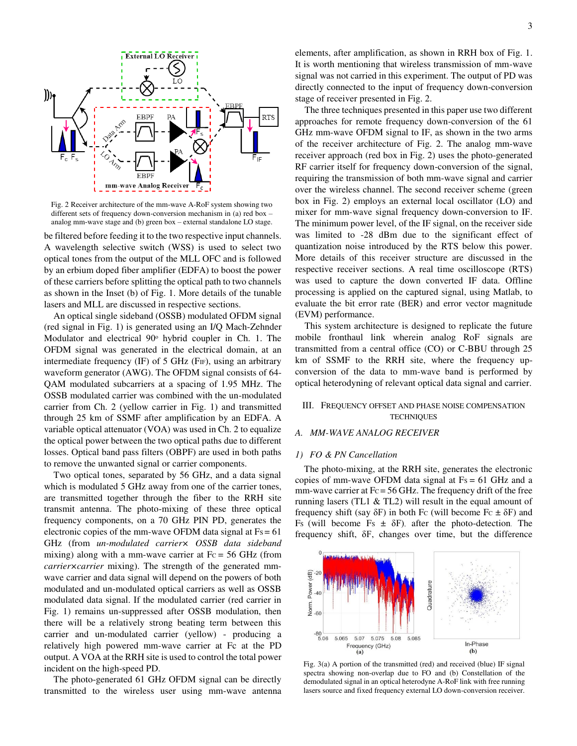

Fig. 2 Receiver architecture of the mm-wave A-RoF system showing two different sets of frequency down-conversion mechanism in (a) red box – analog mm-wave stage and (b) green box – external standalone LO stage.

be filtered before feeding it to the two respective input channels. A wavelength selective switch (WSS) is used to select two optical tones from the output of the MLL OFC and is followed by an erbium doped fiber amplifier (EDFA) to boost the power of these carriers before splitting the optical path to two channels as shown in the Inset (b) of Fig. 1. More details of the tunable lasers and MLL are discussed in respective sections.

An optical single sideband (OSSB) modulated OFDM signal (red signal in Fig. 1) is generated using an I/Q Mach-Zehnder Modulator and electrical 90<sup>°</sup> hybrid coupler in Ch. 1. The OFDM signal was generated in the electrical domain, at an intermediate frequency (IF) of  $5$  GHz (F<sub>IF</sub>), using an arbitrary waveform generator (AWG). The OFDM signal consists of 64- QAM modulated subcarriers at a spacing of 1.95 MHz. The OSSB modulated carrier was combined with the un-modulated carrier from Ch. 2 (yellow carrier in Fig. 1) and transmitted through 25 km of SSMF after amplification by an EDFA. A variable optical attenuator (VOA) was used in Ch. 2 to equalize the optical power between the two optical paths due to different losses. Optical band pass filters (OBPF) are used in both paths to remove the unwanted signal or carrier components.

Two optical tones, separated by 56 GHz, and a data signal which is modulated 5 GHz away from one of the carrier tones, are transmitted together through the fiber to the RRH site transmit antenna. The photo-mixing of these three optical frequency components, on a 70 GHz PIN PD, generates the electronic copies of the mm-wave OFDM data signal at  $Fs = 61$ GHz (from *un-modulated carrier× OSSB data sideband*  mixing) along with a mm-wave carrier at  $Fc = 56$  GHz (from *carrier×carrier* mixing). The strength of the generated mmwave carrier and data signal will depend on the powers of both modulated and un-modulated optical carriers as well as OSSB modulated data signal. If the modulated carrier (red carrier in Fig. 1) remains un-suppressed after OSSB modulation, then there will be a relatively strong beating term between this carrier and un-modulated carrier (yellow) - producing a relatively high powered mm-wave carrier at Fc at the PD output. A VOA at the RRH site is used to control the total power incident on the high-speed PD.

The photo-generated 61 GHz OFDM signal can be directly transmitted to the wireless user using mm-wave antenna elements, after amplification, as shown in RRH box of Fig. 1. It is worth mentioning that wireless transmission of mm-wave signal was not carried in this experiment. The output of PD was directly connected to the input of frequency down-conversion stage of receiver presented in Fig. 2.

The three techniques presented in this paper use two different approaches for remote frequency down-conversion of the 61 GHz mm-wave OFDM signal to IF, as shown in the two arms of the receiver architecture of Fig. 2. The analog mm-wave receiver approach (red box in Fig. 2) uses the photo-generated RF carrier itself for frequency down-conversion of the signal, requiring the transmission of both mm-wave signal and carrier over the wireless channel. The second receiver scheme (green box in Fig. 2) employs an external local oscillator (LO) and mixer for mm-wave signal frequency down-conversion to IF. The minimum power level, of the IF signal, on the receiver side was limited to -28 dBm due to the significant effect of quantization noise introduced by the RTS below this power. More details of this receiver structure are discussed in the respective receiver sections. A real time oscilloscope (RTS) was used to capture the down converted IF data. Offline processing is applied on the captured signal, using Matlab, to evaluate the bit error rate (BER) and error vector magnitude (EVM) performance.

This system architecture is designed to replicate the future mobile fronthaul link wherein analog RoF signals are transmitted from a central office (CO) or C-BBU through 25 km of SSMF to the RRH site, where the frequency upconversion of the data to mm-wave band is performed by optical heterodyning of relevant optical data signal and carrier.

## III. FREQUENCY OFFSET AND PHASE NOISE COMPENSATION **TECHNIQUES**

# *A. MM-WAVE ANALOG RECEIVER*

#### *1) FO & PN Cancellation*

The photo-mixing, at the RRH site, generates the electronic copies of mm-wave OFDM data signal at  $Fs = 61$  GHz and a mm-wave carrier at  $Fc = 56$  GHz. The frequency drift of the free running lasers (TL1  $\&$  TL2) will result in the equal amount of frequency shift (say  $\delta F$ ) in both Fc (will become Fc  $\pm \delta F$ ) and Fs (will become Fs  $\pm$   $\delta$ F), after the photo-detection. The frequency shift, δF, changes over time, but the difference



Fig. 3(a) A portion of the transmitted (red) and received (blue) IF signal spectra showing non-overlap due to FO and (b) Constellation of the demodulated signal in an optical heterodyne A-RoF link with free running lasers source and fixed frequency external LO down-conversion receiver.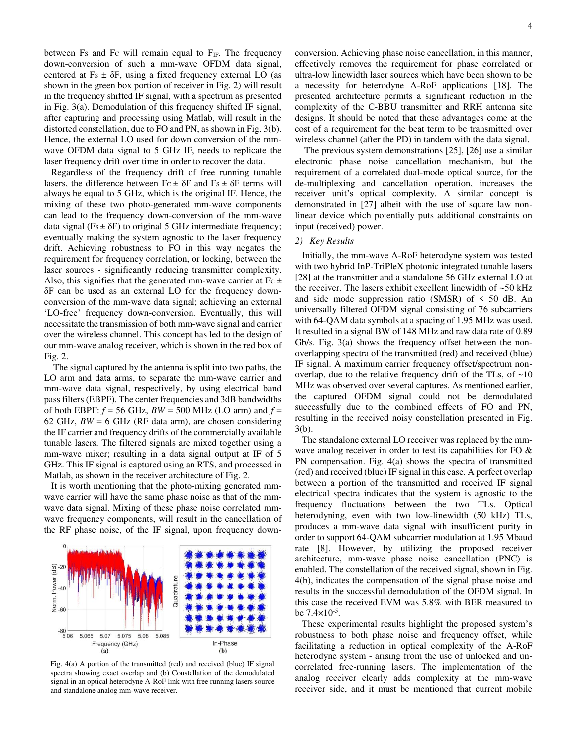between Fs and Fc will remain equal to  $F_{IF}$ . The frequency down-conversion of such a mm-wave OFDM data signal, centered at Fs  $\pm$   $\delta$ F, using a fixed frequency external LO (as shown in the green box portion of receiver in Fig. 2) will result in the frequency shifted IF signal, with a spectrum as presented in Fig. 3(a). Demodulation of this frequency shifted IF signal, after capturing and processing using Matlab, will result in the distorted constellation, due to FO and PN, as shown in Fig. 3(b). Hence, the external LO used for down conversion of the mmwave OFDM data signal to 5 GHz IF, needs to replicate the laser frequency drift over time in order to recover the data.

 Regardless of the frequency drift of free running tunable lasers, the difference between  $Fc \pm \delta F$  and  $Fs \pm \delta F$  terms will always be equal to 5 GHz, which is the original IF. Hence, the mixing of these two photo-generated mm-wave components can lead to the frequency down-conversion of the mm-wave data signal ( $Fs \pm \delta F$ ) to original 5 GHz intermediate frequency; eventually making the system agnostic to the laser frequency drift. Achieving robustness to FO in this way negates the requirement for frequency correlation, or locking, between the laser sources - significantly reducing transmitter complexity. Also, this signifies that the generated mm-wave carrier at  $Fc \pm$ δF can be used as an external LO for the frequency downconversion of the mm-wave data signal; achieving an external 'LO-free' frequency down-conversion. Eventually, this will necessitate the transmission of both mm-wave signal and carrier over the wireless channel. This concept has led to the design of our mm-wave analog receiver, which is shown in the red box of Fig. 2.

The signal captured by the antenna is split into two paths, the LO arm and data arms, to separate the mm-wave carrier and mm-wave data signal, respectively, by using electrical band pass filters (EBPF). The center frequencies and 3dB bandwidths of both EBPF:  $f = 56 \text{ GHz}$ ,  $BW = 500 \text{ MHz}$  (LO arm) and  $f =$ 62 GHz,  $BW = 6$  GHz (RF data arm), are chosen considering the IF carrier and frequency drifts of the commercially available tunable lasers. The filtered signals are mixed together using a mm-wave mixer; resulting in a data signal output at IF of 5 GHz. This IF signal is captured using an RTS, and processed in Matlab, as shown in the receiver architecture of Fig. 2.

 It is worth mentioning that the photo-mixing generated mmwave carrier will have the same phase noise as that of the mmwave data signal. Mixing of these phase noise correlated mmwave frequency components, will result in the cancellation of the RF phase noise, of the IF signal, upon frequency down-



Fig. 4(a) A portion of the transmitted (red) and received (blue) IF signal spectra showing exact overlap and (b) Constellation of the demodulated signal in an optical heterodyne A-RoF link with free running lasers source and standalone analog mm-wave receiver.

conversion. Achieving phase noise cancellation, in this manner, effectively removes the requirement for phase correlated or ultra-low linewidth laser sources which have been shown to be a necessity for heterodyne A-RoF applications [18]. The presented architecture permits a significant reduction in the complexity of the C-BBU transmitter and RRH antenna site designs. It should be noted that these advantages come at the cost of a requirement for the beat term to be transmitted over wireless channel (after the PD) in tandem with the data signal.

 The previous system demonstrations [25], [26] use a similar electronic phase noise cancellation mechanism, but the requirement of a correlated dual-mode optical source, for the de-multiplexing and cancellation operation, increases the receiver unit's optical complexity. A similar concept is demonstrated in [27] albeit with the use of square law nonlinear device which potentially puts additional constraints on input (received) power.

#### *2) Key Results*

 Initially, the mm-wave A-RoF heterodyne system was tested with two hybrid InP-TriPleX photonic integrated tunable lasers [28] at the transmitter and a standalone 56 GHz external LO at the receiver. The lasers exhibit excellent linewidth of  $\sim 50$  kHz and side mode suppression ratio (SMSR) of  $\leq$  50 dB. An universally filtered OFDM signal consisting of 76 subcarriers with 64-QAM data symbols at a spacing of 1.95 MHz was used. It resulted in a signal BW of 148 MHz and raw data rate of 0.89 Gb/s. Fig. 3(a) shows the frequency offset between the nonoverlapping spectra of the transmitted (red) and received (blue) IF signal. A maximum carrier frequency offset/spectrum nonoverlap, due to the relative frequency drift of the TLs, of  $\sim 10$ MHz was observed over several captures. As mentioned earlier, the captured OFDM signal could not be demodulated successfully due to the combined effects of FO and PN, resulting in the received noisy constellation presented in Fig. 3(b).

 The standalone external LO receiver was replaced by the mmwave analog receiver in order to test its capabilities for FO & PN compensation. Fig. 4(a) shows the spectra of transmitted (red) and received (blue) IF signal in this case. A perfect overlap between a portion of the transmitted and received IF signal electrical spectra indicates that the system is agnostic to the frequency fluctuations between the two TLs. Optical heterodyning, even with two low-linewidth (50 kHz) TLs, produces a mm-wave data signal with insufficient purity in order to support 64-QAM subcarrier modulation at 1.95 Mbaud rate [8]. However, by utilizing the proposed receiver architecture, mm-wave phase noise cancellation (PNC) is enabled. The constellation of the received signal, shown in Fig. 4(b), indicates the compensation of the signal phase noise and results in the successful demodulation of the OFDM signal. In this case the received EVM was 5.8% with BER measured to be  $7.4 \times 10^{-5}$ .

 These experimental results highlight the proposed system's robustness to both phase noise and frequency offset, while facilitating a reduction in optical complexity of the A-RoF heterodyne system - arising from the use of unlocked and uncorrelated free-running lasers. The implementation of the analog receiver clearly adds complexity at the mm-wave receiver side, and it must be mentioned that current mobile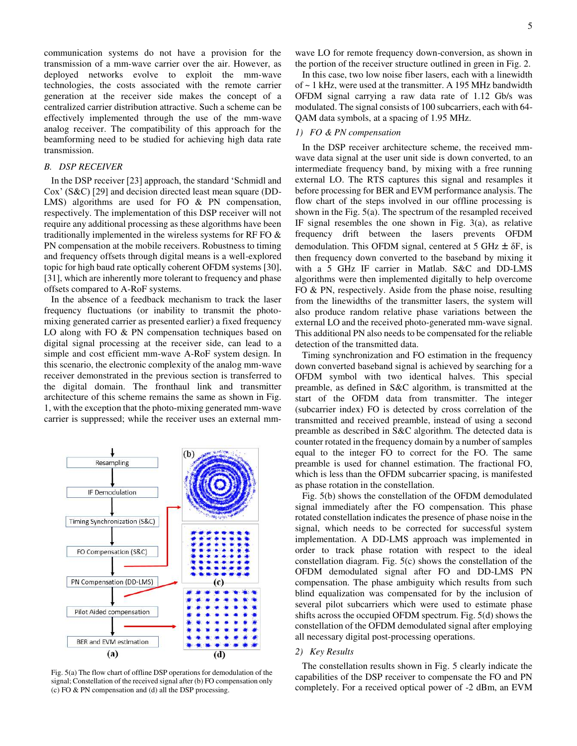communication systems do not have a provision for the transmission of a mm-wave carrier over the air. However, as deployed networks evolve to exploit the mm-wave technologies, the costs associated with the remote carrier generation at the receiver side makes the concept of a centralized carrier distribution attractive. Such a scheme can be effectively implemented through the use of the mm-wave analog receiver. The compatibility of this approach for the beamforming need to be studied for achieving high data rate transmission.

# *B. DSP RECEIVER*

 In the DSP receiver [23] approach, the standard 'Schmidl and Cox' (S&C) [29] and decision directed least mean square (DD-LMS) algorithms are used for FO & PN compensation, respectively. The implementation of this DSP receiver will not require any additional processing as these algorithms have been traditionally implemented in the wireless systems for RF FO & PN compensation at the mobile receivers. Robustness to timing and frequency offsets through digital means is a well-explored topic for high baud rate optically coherent OFDM systems [30], [31], which are inherently more tolerant to frequency and phase offsets compared to A-RoF systems.

 In the absence of a feedback mechanism to track the laser frequency fluctuations (or inability to transmit the photomixing generated carrier as presented earlier) a fixed frequency LO along with FO & PN compensation techniques based on digital signal processing at the receiver side, can lead to a simple and cost efficient mm-wave A-RoF system design. In this scenario, the electronic complexity of the analog mm-wave receiver demonstrated in the previous section is transferred to the digital domain. The fronthaul link and transmitter architecture of this scheme remains the same as shown in Fig. 1, with the exception that the photo-mixing generated mm-wave carrier is suppressed; while the receiver uses an external mm-



Fig. 5(a) The flow chart of offline DSP operations for demodulation of the signal; Constellation of the received signal after (b) FO compensation only (c) FO & PN compensation and (d) all the DSP processing.

wave LO for remote frequency down-conversion, as shown in the portion of the receiver structure outlined in green in Fig. 2.

 In this case, two low noise fiber lasers, each with a linewidth of ~ 1 kHz, were used at the transmitter. A 195 MHz bandwidth OFDM signal carrying a raw data rate of 1.12 Gb/s was modulated. The signal consists of 100 subcarriers, each with 64- QAM data symbols, at a spacing of 1.95 MHz.

# *1) FO & PN compensation*

 In the DSP receiver architecture scheme, the received mmwave data signal at the user unit side is down converted, to an intermediate frequency band, by mixing with a free running external LO. The RTS captures this signal and resamples it before processing for BER and EVM performance analysis. The flow chart of the steps involved in our offline processing is shown in the Fig. 5(a). The spectrum of the resampled received IF signal resembles the one shown in Fig. 3(a), as relative frequency drift between the lasers prevents OFDM demodulation. This OFDM signal, centered at 5 GHz  $\pm$   $\delta$ F, is then frequency down converted to the baseband by mixing it with a 5 GHz IF carrier in Matlab. S&C and DD-LMS algorithms were then implemented digitally to help overcome FO & PN, respectively. Aside from the phase noise, resulting from the linewidths of the transmitter lasers, the system will also produce random relative phase variations between the external LO and the received photo-generated mm-wave signal. This additional PN also needs to be compensated for the reliable detection of the transmitted data.

 Timing synchronization and FO estimation in the frequency down converted baseband signal is achieved by searching for a OFDM symbol with two identical halves. This special preamble, as defined in S&C algorithm, is transmitted at the start of the OFDM data from transmitter. The integer (subcarrier index) FO is detected by cross correlation of the transmitted and received preamble, instead of using a second preamble as described in S&C algorithm. The detected data is counter rotated in the frequency domain by a number of samples equal to the integer FO to correct for the FO. The same preamble is used for channel estimation. The fractional FO, which is less than the OFDM subcarrier spacing, is manifested as phase rotation in the constellation.

 Fig. 5(b) shows the constellation of the OFDM demodulated signal immediately after the FO compensation. This phase rotated constellation indicates the presence of phase noise in the signal, which needs to be corrected for successful system implementation. A DD-LMS approach was implemented in order to track phase rotation with respect to the ideal constellation diagram. Fig. 5(c) shows the constellation of the OFDM demodulated signal after FO and DD-LMS PN compensation. The phase ambiguity which results from such blind equalization was compensated for by the inclusion of several pilot subcarriers which were used to estimate phase shifts across the occupied OFDM spectrum. Fig. 5(d) shows the constellation of the OFDM demodulated signal after employing all necessary digital post-processing operations.

# *2) Key Results*

 The constellation results shown in Fig. 5 clearly indicate the capabilities of the DSP receiver to compensate the FO and PN completely. For a received optical power of -2 dBm, an EVM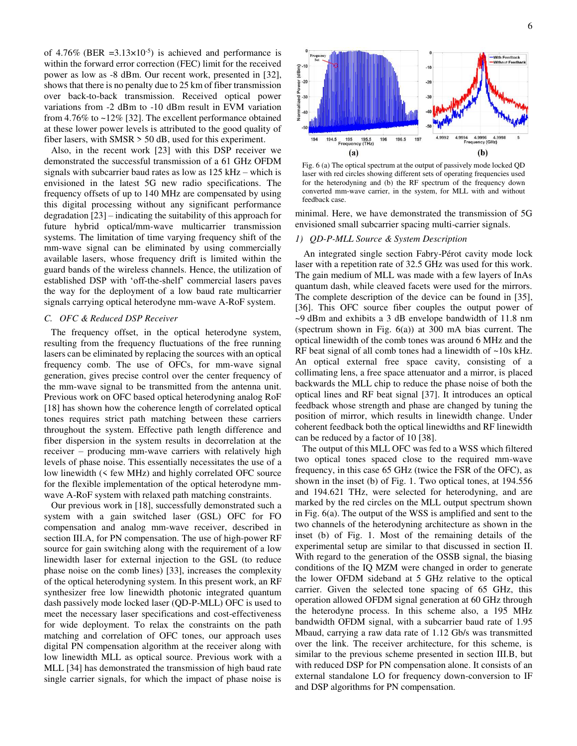of 4.76% (BER =  $3.13 \times 10^{-5}$ ) is achieved and performance is within the forward error correction (FEC) limit for the received power as low as -8 dBm. Our recent work, presented in [32], shows that there is no penalty due to 25 km of fiber transmission over back-to-back transmission. Received optical power variations from -2 dBm to -10 dBm result in EVM variation from 4.76% to ~12% [32]. The excellent performance obtained at these lower power levels is attributed to the good quality of fiber lasers, with SMSR > 50 dB, used for this experiment.

 Also, in the recent work [23] with this DSP receiver we demonstrated the successful transmission of a 61 GHz OFDM signals with subcarrier baud rates as low as 125 kHz – which is envisioned in the latest 5G new radio specifications. The frequency offsets of up to 140 MHz are compensated by using this digital processing without any significant performance degradation [23] – indicating the suitability of this approach for future hybrid optical/mm-wave multicarrier transmission systems. The limitation of time varying frequency shift of the mm-wave signal can be eliminated by using commercially available lasers, whose frequency drift is limited within the guard bands of the wireless channels. Hence, the utilization of established DSP with 'off-the-shelf' commercial lasers paves the way for the deployment of a low baud rate multicarrier signals carrying optical heterodyne mm-wave A-RoF system.

#### *C. OFC & Reduced DSP Receiver*

 The frequency offset, in the optical heterodyne system, resulting from the frequency fluctuations of the free running lasers can be eliminated by replacing the sources with an optical frequency comb. The use of OFCs, for mm-wave signal generation, gives precise control over the center frequency of the mm-wave signal to be transmitted from the antenna unit. Previous work on OFC based optical heterodyning analog RoF [18] has shown how the coherence length of correlated optical tones requires strict path matching between these carriers throughout the system. Effective path length difference and fiber dispersion in the system results in decorrelation at the receiver – producing mm-wave carriers with relatively high levels of phase noise. This essentially necessitates the use of a low linewidth (< few MHz) and highly correlated OFC source for the flexible implementation of the optical heterodyne mmwave A-RoF system with relaxed path matching constraints.

 Our previous work in [18], successfully demonstrated such a system with a gain switched laser (GSL) OFC for FO compensation and analog mm-wave receiver, described in section III.A, for PN compensation. The use of high-power RF source for gain switching along with the requirement of a low linewidth laser for external injection to the GSL (to reduce phase noise on the comb lines) [33], increases the complexity of the optical heterodyning system. In this present work, an RF synthesizer free low linewidth photonic integrated quantum dash passively mode locked laser (QD-P-MLL) OFC is used to meet the necessary laser specifications and cost-effectiveness for wide deployment. To relax the constraints on the path matching and correlation of OFC tones, our approach uses digital PN compensation algorithm at the receiver along with low linewidth MLL as optical source. Previous work with a MLL [34] has demonstrated the transmission of high baud rate single carrier signals, for which the impact of phase noise is



Fig. 6 (a) The optical spectrum at the output of passively mode locked QD laser with red circles showing different sets of operating frequencies used for the heterodyning and (b) the RF spectrum of the frequency down converted mm-wave carrier, in the system, for MLL with and without feedback case.

minimal. Here, we have demonstrated the transmission of 5G envisioned small subcarrier spacing multi-carrier signals.

#### *1) QD-P-MLL Source & System Description*

 An integrated single section Fabry-Pérot cavity mode lock laser with a repetition rate of 32.5 GHz was used for this work. The gain medium of MLL was made with a few layers of InAs quantum dash, while cleaved facets were used for the mirrors. The complete description of the device can be found in [35], [36]. This OFC source fiber couples the output power of ~9 dBm and exhibits a 3 dB envelope bandwidth of 11.8 nm (spectrum shown in Fig. 6(a)) at 300 mA bias current. The optical linewidth of the comb tones was around 6 MHz and the RF beat signal of all comb tones had a linewidth of ~10s kHz. An optical external free space cavity, consisting of a collimating lens, a free space attenuator and a mirror, is placed backwards the MLL chip to reduce the phase noise of both the optical lines and RF beat signal [37]. It introduces an optical feedback whose strength and phase are changed by tuning the position of mirror, which results in linewidth change. Under coherent feedback both the optical linewidths and RF linewidth can be reduced by a factor of 10 [38].

 The output of this MLL OFC was fed to a WSS which filtered two optical tones spaced close to the required mm-wave frequency, in this case 65 GHz (twice the FSR of the OFC), as shown in the inset (b) of Fig. 1. Two optical tones, at 194.556 and 194.621 THz, were selected for heterodyning, and are marked by the red circles on the MLL output spectrum shown in Fig. 6(a). The output of the WSS is amplified and sent to the two channels of the heterodyning architecture as shown in the inset (b) of Fig. 1. Most of the remaining details of the experimental setup are similar to that discussed in section II. With regard to the generation of the OSSB signal, the biasing conditions of the IQ MZM were changed in order to generate the lower OFDM sideband at 5 GHz relative to the optical carrier. Given the selected tone spacing of 65 GHz, this operation allowed OFDM signal generation at 60 GHz through the heterodyne process. In this scheme also, a 195 MHz bandwidth OFDM signal, with a subcarrier baud rate of 1.95 Mbaud, carrying a raw data rate of 1.12 Gb/s was transmitted over the link. The receiver architecture, for this scheme, is similar to the previous scheme presented in section III.B, but with reduced DSP for PN compensation alone. It consists of an external standalone LO for frequency down-conversion to IF and DSP algorithms for PN compensation.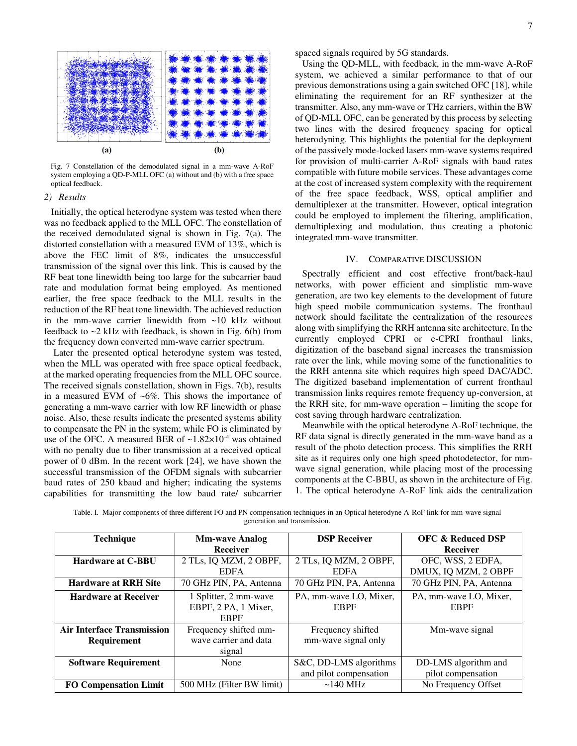

Fig. 7 Constellation of the demodulated signal in a mm-wave A-RoF system employing a QD-P-MLL OFC (a) without and (b) with a free space optical feedback.

#### *2) Results*

 Initially, the optical heterodyne system was tested when there was no feedback applied to the MLL OFC. The constellation of the received demodulated signal is shown in Fig. 7(a). The distorted constellation with a measured EVM of 13%, which is above the FEC limit of 8%, indicates the unsuccessful transmission of the signal over this link. This is caused by the RF beat tone linewidth being too large for the subcarrier baud rate and modulation format being employed. As mentioned earlier, the free space feedback to the MLL results in the reduction of the RF beat tone linewidth. The achieved reduction in the mm-wave carrier linewidth from ~10 kHz without feedback to ~2 kHz with feedback, is shown in Fig. 6(b) from the frequency down converted mm-wave carrier spectrum.

 Later the presented optical heterodyne system was tested, when the MLL was operated with free space optical feedback, at the marked operating frequencies from the MLL OFC source. The received signals constellation, shown in Figs. 7(b), results in a measured EVM of  $~6\%$ . This shows the importance of generating a mm-wave carrier with low RF linewidth or phase noise. Also, these results indicate the presented systems ability to compensate the PN in the system; while FO is eliminated by use of the OFC. A measured BER of  $\sim$ 1.82×10<sup>-4</sup> was obtained with no penalty due to fiber transmission at a received optical power of 0 dBm. In the recent work [24], we have shown the successful transmission of the OFDM signals with subcarrier baud rates of 250 kbaud and higher; indicating the systems capabilities for transmitting the low baud rate/ subcarrier spaced signals required by 5G standards.

 Using the QD-MLL, with feedback, in the mm-wave A-RoF system, we achieved a similar performance to that of our previous demonstrations using a gain switched OFC [18], while eliminating the requirement for an RF synthesizer at the transmitter. Also, any mm-wave or THz carriers, within the BW of QD-MLL OFC, can be generated by this process by selecting two lines with the desired frequency spacing for optical heterodyning. This highlights the potential for the deployment of the passively mode-locked lasers mm-wave systems required for provision of multi-carrier A-RoF signals with baud rates compatible with future mobile services. These advantages come at the cost of increased system complexity with the requirement of the free space feedback, WSS, optical amplifier and demultiplexer at the transmitter. However, optical integration could be employed to implement the filtering, amplification, demultiplexing and modulation, thus creating a photonic integrated mm-wave transmitter.

# IV. COMPARATIVE DISCUSSION

 Spectrally efficient and cost effective front/back-haul networks, with power efficient and simplistic mm-wave generation, are two key elements to the development of future high speed mobile communication systems. The fronthaul network should facilitate the centralization of the resources along with simplifying the RRH antenna site architecture. In the currently employed CPRI or e-CPRI fronthaul links, digitization of the baseband signal increases the transmission rate over the link, while moving some of the functionalities to the RRH antenna site which requires high speed DAC/ADC. The digitized baseband implementation of current fronthaul transmission links requires remote frequency up-conversion, at the RRH site, for mm-wave operation – limiting the scope for cost saving through hardware centralization.

 Meanwhile with the optical heterodyne A-RoF technique, the RF data signal is directly generated in the mm-wave band as a result of the photo detection process. This simplifies the RRH site as it requires only one high speed photodetector, for mmwave signal generation, while placing most of the processing components at the C-BBU, as shown in the architecture of Fig. 1. The optical heterodyne A-RoF link aids the centralization

| Table. I. Maior components of three different FO and PN compensation techniques in an Optical heterodyne A-RoF link for mm-wave signal |                              |  |
|----------------------------------------------------------------------------------------------------------------------------------------|------------------------------|--|
|                                                                                                                                        | generation and transmission. |  |

| <b>Technique</b>                  | <b>Mm-wave Analog</b>     | <b>DSP Receiver</b>     | <b>OFC &amp; Reduced DSP</b> |
|-----------------------------------|---------------------------|-------------------------|------------------------------|
|                                   | <b>Receiver</b>           |                         | Receiver                     |
| Hardware at C-BBU                 | 2 TLs, IQ MZM, 2 OBPF,    | 2 TLs, IQ MZM, 2 OBPF,  | OFC, WSS, 2 EDFA,            |
|                                   | <b>EDFA</b>               | <b>EDFA</b>             | DMUX, IQ MZM, 2 OBPF         |
| <b>Hardware at RRH Site</b>       | 70 GHz PIN, PA, Antenna   | 70 GHz PIN, PA, Antenna | 70 GHz PIN, PA, Antenna      |
| <b>Hardware at Receiver</b>       | 1 Splitter, 2 mm-wave     | PA, mm-wave LO, Mixer,  | PA, mm-wave LO, Mixer,       |
|                                   | EBPF, 2 PA, 1 Mixer,      | <b>EBPF</b>             | <b>EBPF</b>                  |
|                                   | <b>EBPF</b>               |                         |                              |
| <b>Air Interface Transmission</b> | Frequency shifted mm-     | Frequency shifted       | Mm-wave signal               |
| Requirement                       | wave carrier and data     | mm-wave signal only     |                              |
|                                   | signal                    |                         |                              |
| <b>Software Requirement</b>       | None                      | S&C, DD-LMS algorithms  | DD-LMS algorithm and         |
|                                   |                           | and pilot compensation  | pilot compensation           |
| <b>FO Compensation Limit</b>      | 500 MHz (Filter BW limit) | $\sim$ 140 MHz          | No Frequency Offset          |
|                                   |                           |                         |                              |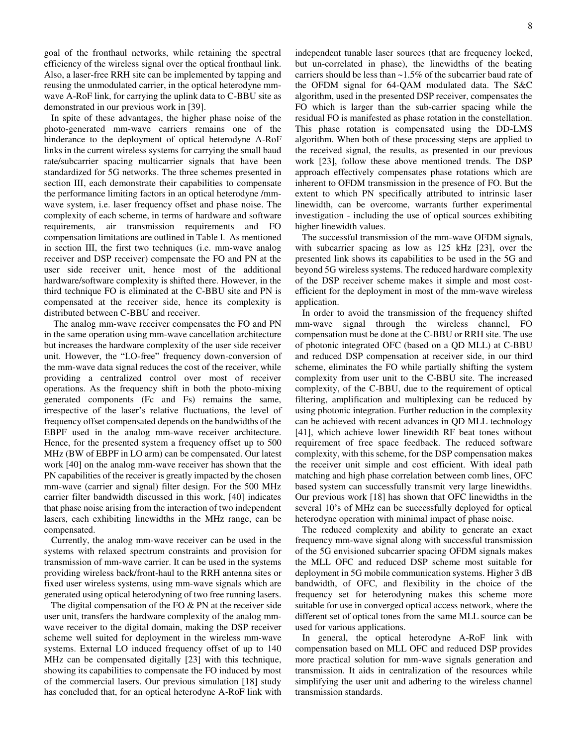goal of the fronthaul networks, while retaining the spectral efficiency of the wireless signal over the optical fronthaul link. Also, a laser-free RRH site can be implemented by tapping and reusing the unmodulated carrier, in the optical heterodyne mmwave A-RoF link, for carrying the uplink data to C-BBU site as demonstrated in our previous work in [39].

 In spite of these advantages, the higher phase noise of the photo-generated mm-wave carriers remains one of the hinderance to the deployment of optical heterodyne A-RoF links in the current wireless systems for carrying the small baud rate/subcarrier spacing multicarrier signals that have been standardized for 5G networks. The three schemes presented in section III, each demonstrate their capabilities to compensate the performance limiting factors in an optical heterodyne /mmwave system, i.e. laser frequency offset and phase noise. The complexity of each scheme, in terms of hardware and software requirements, air transmission requirements and FO compensation limitations are outlined in Table I. As mentioned in section III, the first two techniques (i.e. mm-wave analog receiver and DSP receiver) compensate the FO and PN at the user side receiver unit, hence most of the additional hardware/software complexity is shifted there. However, in the third technique FO is eliminated at the C-BBU site and PN is compensated at the receiver side, hence its complexity is distributed between C-BBU and receiver.

 The analog mm-wave receiver compensates the FO and PN in the same operation using mm-wave cancellation architecture but increases the hardware complexity of the user side receiver unit. However, the "LO-free" frequency down-conversion of the mm-wave data signal reduces the cost of the receiver, while providing a centralized control over most of receiver operations. As the frequency shift in both the photo-mixing generated components (Fc and Fs) remains the same, irrespective of the laser's relative fluctuations, the level of frequency offset compensated depends on the bandwidths of the EBPF used in the analog mm-wave receiver architecture. Hence, for the presented system a frequency offset up to 500 MHz (BW of EBPF in LO arm) can be compensated. Our latest work [40] on the analog mm-wave receiver has shown that the PN capabilities of the receiver is greatly impacted by the chosen mm-wave (carrier and signal) filter design. For the 500 MHz carrier filter bandwidth discussed in this work, [40] indicates that phase noise arising from the interaction of two independent lasers, each exhibiting linewidths in the MHz range, can be compensated.

 Currently, the analog mm-wave receiver can be used in the systems with relaxed spectrum constraints and provision for transmission of mm-wave carrier. It can be used in the systems providing wireless back/front-haul to the RRH antenna sites or fixed user wireless systems, using mm-wave signals which are generated using optical heterodyning of two free running lasers.

 The digital compensation of the FO & PN at the receiver side user unit, transfers the hardware complexity of the analog mmwave receiver to the digital domain, making the DSP receiver scheme well suited for deployment in the wireless mm-wave systems. External LO induced frequency offset of up to 140 MHz can be compensated digitally [23] with this technique, showing its capabilities to compensate the FO induced by most of the commercial lasers. Our previous simulation [18] study has concluded that, for an optical heterodyne A-RoF link with independent tunable laser sources (that are frequency locked, but un-correlated in phase), the linewidths of the beating carriers should be less than ~1.5% of the subcarrier baud rate of the OFDM signal for 64-QAM modulated data. The S&C algorithm, used in the presented DSP receiver, compensates the FO which is larger than the sub-carrier spacing while the residual FO is manifested as phase rotation in the constellation. This phase rotation is compensated using the DD-LMS algorithm. When both of these processing steps are applied to the received signal, the results, as presented in our previous work [23], follow these above mentioned trends. The DSP approach effectively compensates phase rotations which are inherent to OFDM transmission in the presence of FO. But the extent to which PN specifically attributed to intrinsic laser linewidth, can be overcome, warrants further experimental investigation - including the use of optical sources exhibiting higher linewidth values.

 The successful transmission of the mm-wave OFDM signals, with subcarrier spacing as low as 125 kHz [23], over the presented link shows its capabilities to be used in the 5G and beyond 5G wireless systems. The reduced hardware complexity of the DSP receiver scheme makes it simple and most costefficient for the deployment in most of the mm-wave wireless application.

 In order to avoid the transmission of the frequency shifted mm-wave signal through the wireless channel, FO compensation must be done at the C-BBU or RRH site. The use of photonic integrated OFC (based on a QD MLL) at C-BBU and reduced DSP compensation at receiver side, in our third scheme, eliminates the FO while partially shifting the system complexity from user unit to the C-BBU site. The increased complexity, of the C-BBU, due to the requirement of optical filtering, amplification and multiplexing can be reduced by using photonic integration. Further reduction in the complexity can be achieved with recent advances in QD MLL technology [41], which achieve lower linewidth RF beat tones without requirement of free space feedback. The reduced software complexity, with this scheme, for the DSP compensation makes the receiver unit simple and cost efficient. With ideal path matching and high phase correlation between comb lines, OFC based system can successfully transmit very large linewidths. Our previous work [18] has shown that OFC linewidths in the several 10's of MHz can be successfully deployed for optical heterodyne operation with minimal impact of phase noise.

 The reduced complexity and ability to generate an exact frequency mm-wave signal along with successful transmission of the 5G envisioned subcarrier spacing OFDM signals makes the MLL OFC and reduced DSP scheme most suitable for deployment in 5G mobile communication systems. Higher 3 dB bandwidth, of OFC, and flexibility in the choice of the frequency set for heterodyning makes this scheme more suitable for use in converged optical access network, where the different set of optical tones from the same MLL source can be used for various applications.

 In general, the optical heterodyne A-RoF link with compensation based on MLL OFC and reduced DSP provides more practical solution for mm-wave signals generation and transmission. It aids in centralization of the resources while simplifying the user unit and adhering to the wireless channel transmission standards.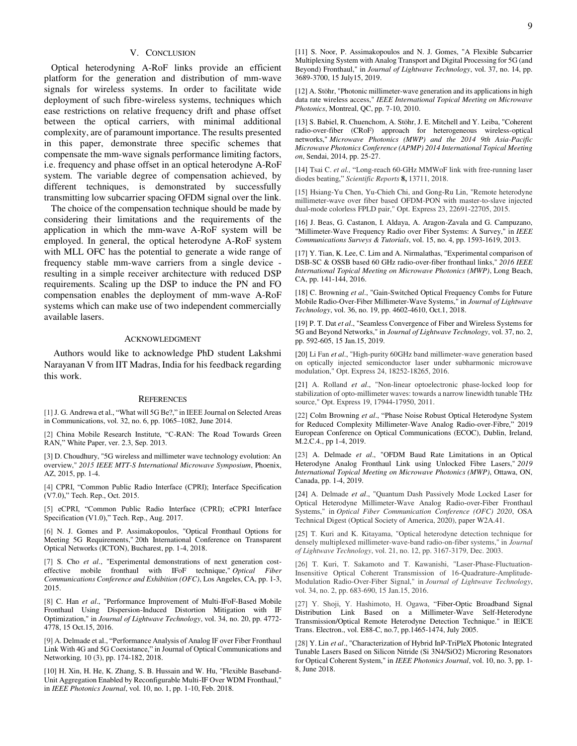# V. CONCLUSION

 Optical heterodyning A-RoF links provide an efficient platform for the generation and distribution of mm-wave signals for wireless systems. In order to facilitate wide deployment of such fibre-wireless systems, techniques which ease restrictions on relative frequency drift and phase offset between the optical carriers, with minimal additional complexity, are of paramount importance. The results presented in this paper, demonstrate three specific schemes that compensate the mm-wave signals performance limiting factors, i.e. frequency and phase offset in an optical heterodyne A-RoF system. The variable degree of compensation achieved, by different techniques, is demonstrated by successfully transmitting low subcarrier spacing OFDM signal over the link.

 The choice of the compensation technique should be made by considering their limitations and the requirements of the application in which the mm-wave A-RoF system will be employed. In general, the optical heterodyne A-RoF system with MLL OFC has the potential to generate a wide range of frequency stable mm-wave carriers from a single device resulting in a simple receiver architecture with reduced DSP requirements. Scaling up the DSP to induce the PN and FO compensation enables the deployment of mm-wave A-RoF systems which can make use of two independent commercially available lasers.

#### ACKNOWLEDGMENT

Authors would like to acknowledge PhD student Lakshmi Narayanan V from IIT Madras, India for his feedback regarding this work.

#### **REFERENCES**

[1] J. G. Andrewa et al., "What will 5G Be?," in IEEE Journal on Selected Areas in Communications, vol. 32, no. 6, pp. 1065–1082, June 2014.

[2] China Mobile Research Institute, "C-RAN: The Road Towards Green RAN," White Paper, ver. 2.3, Sep. 2013.

[3] D. Choudhury, "5G wireless and millimeter wave technology evolution: An overview," *2015 IEEE MTT-S International Microwave Symposium*, Phoenix, AZ, 2015, pp. 1-4.

[4] CPRI, "Common Public Radio Interface (CPRI); Interface Specification (V7.0)," Tech. Rep., Oct. 2015.

[5] eCPRI, "Common Public Radio Interface (CPRI); eCPRI Interface Specification (V1.0)," Tech. Rep., Aug. 2017.

[6] N. J. Gomes and P. Assimakopoulos, "Optical Fronthaul Options for Meeting 5G Requirements," 20th International Conference on Transparent Optical Networks (ICTON), Bucharest, pp. 1-4, 2018.

[7] S. Cho *et al*., "Experimental demonstrations of next generation costeffective mobile fronthaul with IFoF technique," *Optical Fiber Communications Conference and Exhibition (OFC)*, Los Angeles, CA, pp. 1-3, 2015.

[8] C. Han *et al*., "Performance Improvement of Multi-IFoF-Based Mobile Fronthaul Using Dispersion-Induced Distortion Mitigation with IF Optimization," in *Journal of Lightwave Technology*, vol. 34, no. 20, pp. 4772- 4778, 15 Oct.15, 2016.

[9] A. Delmade et al., "Performance Analysis of Analog IF over Fiber Fronthaul Link With 4G and 5G Coexistance," in Journal of Optical Communications and Networking*,* 10 (3), pp. 174-182, 2018.

[10] H. Xin, H. He, K. Zhang, S. B. Hussain and W. Hu, "Flexible Baseband-Unit Aggregation Enabled by Reconfigurable Multi-IF Over WDM Fronthaul," in *IEEE Photonics Journal*, vol. 10, no. 1, pp. 1-10, Feb. 2018.

[11] S. Noor, P. Assimakopoulos and N. J. Gomes, "A Flexible Subcarrier Multiplexing System with Analog Transport and Digital Processing for 5G (and Beyond) Fronthaul," in *Journal of Lightwave Technology*, vol. 37, no. 14, pp. 3689-3700, 15 July15, 2019.

[12] A. Stöhr, "Photonic millimeter-wave generation and its applications in high data rate wireless access," *IEEE International Topical Meeting on Microwave Photonics*, Montreal, QC, pp. 7-10, 2010.

[13] S. Babiel, R. Chuenchom, A. Stöhr, J. E. Mitchell and Y. Leiba, "Coherent radio-over-fiber (CRoF) approach for heterogeneous wireless-optical networks," *Microwave Photonics (MWP) and the 2014 9th Asia-Pacific Microwave Photonics Conference (APMP) 2014 International Topical Meeting on*, Sendai, 2014, pp. 25-27.

[14] Tsai C. *et al.,* "Long-reach 60-GHz MMWoF link with free-running laser diodes beating," *Scientific Reports* **8,** 13711, 2018.

[15] Hsiang-Yu Chen, Yu-Chieh Chi, and Gong-Ru Lin, "Remote heterodyne millimeter-wave over fiber based OFDM-PON with master-to-slave injected dual-mode colorless FPLD pair," Opt. Express 23, 22691-22705, 2015.

[16] J. Beas, G. Castanon, I. Aldaya, A. Aragon-Zavala and G. Campuzano, "Millimeter-Wave Frequency Radio over Fiber Systems: A Survey," in *IEEE Communications Surveys & Tutorials*, vol. 15, no. 4, pp. 1593-1619, 2013.

[17] Y. Tian, K. Lee, C. Lim and A. Nirmalathas, "Experimental comparison of DSB-SC & OSSB based 60 GHz radio-over-fiber fronthaul links," *2016 IEEE International Topical Meeting on Microwave Photonics (MWP)*, Long Beach, CA, pp. 141-144, 2016.

[18] C. Browning *et al*., "Gain-Switched Optical Frequency Combs for Future Mobile Radio-Over-Fiber Millimeter-Wave Systems," in *Journal of Lightwave Technology*, vol. 36, no. 19, pp. 4602-4610, Oct.1, 2018.

[19] P. T. Dat *et al*., "Seamless Convergence of Fiber and Wireless Systems for 5G and Beyond Networks," in *Journal of Lightwave Technology*, vol. 37, no. 2, pp. 592-605, 15 Jan.15, 2019.

[20] Li Fan *et al*., "High-purity 60GHz band millimeter-wave generation based on optically injected semiconductor laser under subharmonic microwave modulation," Opt. Express 24, 18252-18265, 2016.

[21] A. Rolland *et al*., "Non-linear optoelectronic phase-locked loop for stabilization of opto-millimeter waves: towards a narrow linewidth tunable THz source," Opt. Express 19, 17944-17950, 2011.

[22] Colm Browning *et al*., "Phase Noise Robust Optical Heterodyne System for Reduced Complexity Millimeter-Wave Analog Radio-over-Fibre," 2019 European Conference on Optical Communications (ECOC), Dublin, Ireland, M.2.C.4., pp 1-4, 2019.

[23] A. Delmade *et al*., "OFDM Baud Rate Limitations in an Optical Heterodyne Analog Fronthaul Link using Unlocked Fibre Lasers," *2019 International Topical Meeting on Microwave Photonics (MWP)*, Ottawa, ON, Canada, pp. 1-4, 2019.

[24] A. Delmade *et al*., "Quantum Dash Passively Mode Locked Laser for Optical Heterodyne Millimeter-Wave Analog Radio-over-Fiber Fronthaul Systems," in *Optical Fiber Communication Conference (OFC) 2020*, OSA Technical Digest (Optical Society of America, 2020), paper W2A.41.

[25] T. Kuri and K. Kitayama, "Optical heterodyne detection technique for densely multiplexed millimeter-wave-band radio-on-fiber systems," in *Journal of Lightwave Technology*, vol. 21, no. 12, pp. 3167-3179, Dec. 2003.

[26] T. Kuri, T. Sakamoto and T. Kawanishi, "Laser-Phase-Fluctuation-Insensitive Optical Coherent Transmission of 16-Quadrature-Amplitude-Modulation Radio-Over-Fiber Signal," in *Journal of Lightwave Technology*, vol. 34, no. 2, pp. 683-690, 15 Jan.15, 2016.

[27] Y. Shoji, Y. Hashimoto, H. Ogawa, "Fiber-Optic Broadband Signal Distribution Link Based on a Millimeter-Wave Self-Heterodyne Transmission/Optical Remote Heterodyne Detection Technique." in IEICE Trans. Electron., vol. E88-C, no.7, pp.1465-1474, July 2005.

[28] Y. Lin *et al*., "Characterization of Hybrid InP-TriPleX Photonic Integrated Tunable Lasers Based on Silicon Nitride (Si 3N4/SiO2) Microring Resonators for Optical Coherent System," in *IEEE Photonics Journal*, vol. 10, no. 3, pp. 1- 8, June 2018.